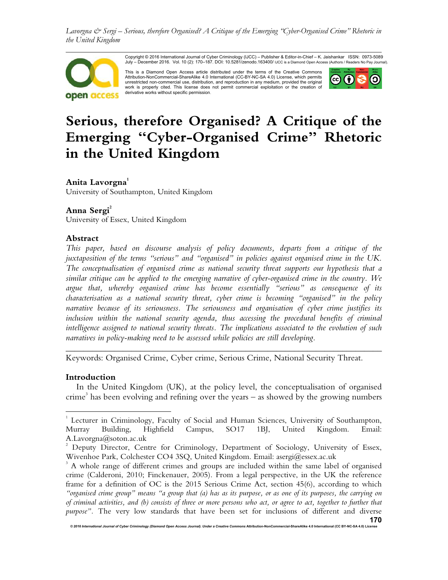*Lavorgna & Sergi – Serious, therefore Organised? A Critique of the Emerging "Cyber-Organised Crime" Rhetoric in the United Kingdom*



Copyright © 2016 International Journal of Cyber Criminology (IJCC) – Publisher & Editor-in-Chief – K. Jaishankar ISSN: 0973-5089<br>July – December 2016. Vol. 10 (2): 170–187. DOI: 10.5281/zenodo.163400/ IJCC is a Diamon

This is a Diamond Open Access article distributed under the terms of the Creative Commons Attribution-NonCommercial-ShareAlike 4.0 International (CC-BY-NC-SA 4.0) License, which permits unrestricted non-commercial use, distribution, and reproduction in any medium, provided the original<br>work is properly cited. This license does not permit commercial exploitation or the creation of derivative works without specific permission.



# **Serious, therefore Organised? A Critique of the Emerging "Cyber-Organised Crime" Rhetoric in the United Kingdom**

# **Anita Lavorgna<sup>1</sup>**

University of Southampton, United Kingdom

# ${\bf Anna\, \, Sergi}^2$

University of Essex, United Kingdom

## **Abstract**

*This paper, based on discourse analysis of policy documents, departs from a critique of the juxtaposition of the terms "serious" and "organised" in policies against organised crime in the UK. The conceptualisation of organised crime as national security threat supports our hypothesis that a similar critique can be applied to the emerging narrative of cyber-organised crime in the country. We argue that, whereby organised crime has become essentially "serious" as consequence of its characterisation as a national security threat, cyber crime is becoming "organised" in the policy narrative because of its seriousness. The seriousness and organisation of cyber crime justifies its*  inclusion within the national security agenda, thus accessing the procedural benefits of criminal *intelligence assigned to national security threats. The implications associated to the evolution of such narratives in policy-making need to be assessed while policies are still developing.* 

Keywords: Organised Crime, Cyber crime, Serious Crime, National Security Threat.

#### **Introduction**

 $\overline{a}$ 

In the United Kingdom (UK), at the policy level, the conceptualisation of organised crime<sup>3</sup> has been evolving and refining over the years – as showed by the growing numbers

*\_\_\_\_\_\_\_\_\_\_\_\_\_\_\_\_\_\_\_\_\_\_\_\_\_\_\_\_\_\_\_\_\_\_\_\_\_\_\_\_\_\_\_\_\_\_\_\_\_\_\_\_\_\_\_\_\_\_\_\_\_\_\_\_\_\_\_\_\_\_\_\_*

*© 2016 International Journal of Cyber Criminology (Diamond Open Access Journal). Under a Creative Commons* **Attribution-NonCommercial-ShareAlike 4.0 International (CC BY-NC-SA 4.0) License** 

<sup>1</sup> Lecturer in Criminology, Faculty of Social and Human Sciences, University of Southampton, Murray Building, Highfield Campus, SO17 1BJ, United Kingdom. Email: A.Lavorgna@soton.ac.uk

<sup>2</sup> Deputy Director, Centre for Criminology, Department of Sociology, University of Essex, Wivenhoe Park, Colchester CO4 3SQ, United Kingdom. Email: asergi@essex.ac.uk

<sup>&</sup>lt;sup>3</sup> A whole range of different crimes and groups are included within the same label of organised crime (Calderoni, 2010; Finckenauer, 2005). From a legal perspective, in the UK the reference frame for a definition of OC is the 2015 Serious Crime Act, section 45(6), according to which *"organised crime group" means "a group that (a) has as its purpose, or as one of its purposes, the carrying on of criminal activities, and (b) consists of three or more persons who act, or agree to act, together to further that purpose".* The very low standards that have been set for inclusions of different and diverse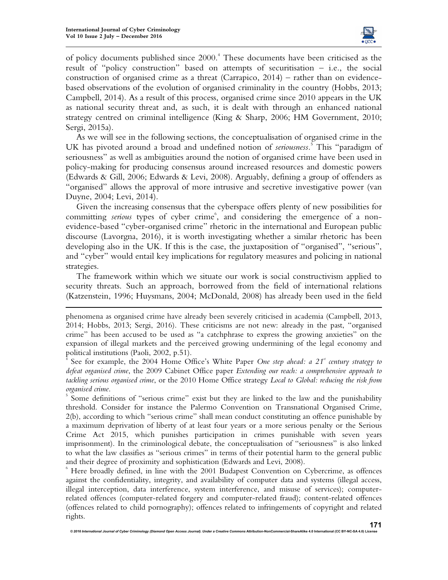

of policy documents published since 2000.<sup>4</sup> These documents have been criticised as the result of "policy construction" based on attempts of securitisation – i.e., the social construction of organised crime as a threat (Carrapico, 2014) – rather than on evidencebased observations of the evolution of organised criminality in the country (Hobbs, 2013; Campbell, 2014). As a result of this process, organised crime since 2010 appears in the UK as national security threat and, as such, it is dealt with through an enhanced national strategy centred on criminal intelligence (King & Sharp, 2006; HM Government, 2010; Sergi, 2015a).

As we will see in the following sections, the conceptualisation of organised crime in the UK has pivoted around a broad and undefined notion of *seriousness.*<sup>5</sup> This "paradigm of seriousness" as well as ambiguities around the notion of organised crime have been used in policy-making for producing consensus around increased resources and domestic powers (Edwards & Gill, 2006; Edwards & Levi, 2008). Arguably, defining a group of offenders as "organised" allows the approval of more intrusive and secretive investigative power (van Duyne, 2004; Levi, 2014).

Given the increasing consensus that the cyberspace offers plenty of new possibilities for committing serious types of cyber crime<sup>6</sup>, and considering the emergence of a nonevidence-based "cyber-organised crime" rhetoric in the international and European public discourse (Lavorgna, 2016), it is worth investigating whether a similar rhetoric has been developing also in the UK. If this is the case, the juxtaposition of "organised", "serious", and "cyber" would entail key implications for regulatory measures and policing in national strategies.

The framework within which we situate our work is social constructivism applied to security threats. Such an approach, borrowed from the field of international relations (Katzenstein, 1996; Huysmans, 2004; McDonald, 2008) has already been used in the field ļ

4 See for example, the 2004 Home Office's White Paper *One step ahead: a 21<sup><sup><i>st</sup>*</sup> century strategy to</sup> *defeat organised crime*, the 2009 Cabinet Office paper *Extending our reach: a comprehensive approach to tackling serious organised crime*, or the 2010 Home Office strategy *Local to Global: reducing the risk from organised crime*.

5 Some definitions of "serious crime" exist but they are linked to the law and the punishability threshold. Consider for instance the Palermo Convention on Transnational Organised Crime, 2(b), according to which "serious crime" shall mean conduct constituting an offence punishable by a maximum deprivation of liberty of at least four years or a more serious penalty or the Serious Crime Act 2015, which punishes participation in crimes punishable with seven years imprisonment). In the criminological debate, the conceptualisation of "seriousness" is also linked to what the law classifies as "serious crimes" in terms of their potential harm to the general public and their degree of proximity and sophistication (Edwards and Levi, 2008).

6 Here broadly defined, in line with the 2001 Budapest Convention on Cybercrime, as offences against the confidentiality, integrity, and availability of computer data and systems (illegal access, illegal interception, data interference, system interference, and misuse of services); computerrelated offences (computer-related forgery and computer-related fraud); content-related offences (offences related to child pornography); offences related to infringements of copyright and related rights.

 $@$  2016 International Journal of Cyber Criminology (Diamond Open Access Journal). Under a Creative Co

phenomena as organised crime have already been severely criticised in academia (Campbell, 2013, 2014; Hobbs, 2013; Sergi, 2016). These criticisms are not new: already in the past, "organised crime" has been accused to be used as "a catchphrase to express the growing anxieties" on the expansion of illegal markets and the perceived growing undermining of the legal economy and political institutions (Paoli, 2002, p.51).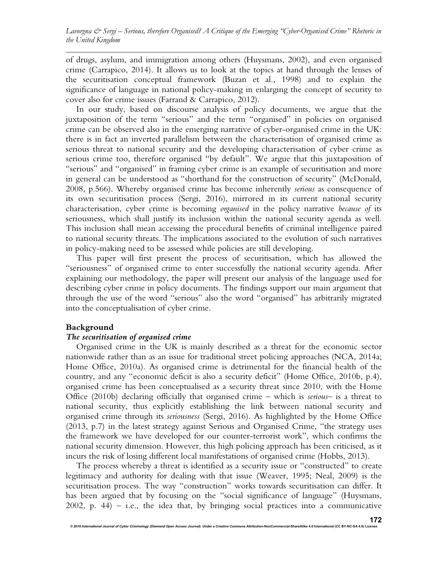of drugs, asylum, and immigration among others (Huysmans, 2002), and even organised crime (Carrapico, 2014). It allows us to look at the topics at hand through the lenses of the securitisation conceptual framework (Buzan et al., 1998) and to explain the significance of language in national policy-making in enlarging the concept of security to cover also for crime issues (Farrand & Carrapico, 2012).

In our study, based on discourse analysis of policy documents, we argue that the juxtaposition of the term "serious" and the term "organised" in policies on organised crime can be observed also in the emerging narrative of cyber-organised crime in the UK: there is in fact an inverted parallelism between the characterisation of organised crime as serious threat to national security and the developing characterisation of cyber crime as serious crime too, therefore organised "by default". We argue that this juxtaposition of "serious" and "organised" in framing cyber crime is an example of securitisation and more in general can be understood as "shorthand for the construction of security" (McDonald, 2008, p.566). Whereby organised crime has become inherently *serious* as consequence of its own securitisation process (Sergi, 2016), mirrored in its current national security characterisation, cyber crime is becoming *organised* in the policy narrative *because of* its seriousness, which shall justify its inclusion within the national security agenda as well. This inclusion shall mean accessing the procedural benefits of criminal intelligence paired to national security threats. The implications associated to the evolution of such narratives in policy-making need to be assessed while policies are still developing.

This paper will first present the process of securitisation, which has allowed the "seriousness" of organised crime to enter successfully the national security agenda. After explaining our methodology, the paper will present our analysis of the language used for describing cyber crime in policy documents. The findings support our main argument that through the use of the word "serious" also the word "organised" has arbitrarily migrated into the conceptualisation of cyber crime.

#### **Background**

#### *The securitisation of organised crime*

Organised crime in the UK is mainly described as a threat for the economic sector nationwide rather than as an issue for traditional street policing approaches (NCA, 2014a; Home Office, 2010a). As organised crime is detrimental for the financial health of the country, and any "economic deficit is also a security deficit" (Home Office, 2010b, p.4), organised crime has been conceptualised as a security threat since 2010, with the Home Office (2010b) declaring officially that organised crime – which is *serious*– is a threat to national security, thus explicitly establishing the link between national security and organised crime through its *seriousness* (Sergi, 2016). As highlighted by the Home Office (2013, p.7) in the latest strategy against Serious and Organised Crime, "the strategy uses the framework we have developed for our counter-terrorist work", which confirms the national security dimension. However, this high policing approach has been criticised, as it incurs the risk of losing different local manifestations of organised crime (Hobbs, 2013).

The process whereby a threat is identified as a security issue or "constructed" to create legitimacy and authority for dealing with that issue (Weaver, 1995; Neal, 2009) is the securitisation process. The way "construction" works towards securitisation can differ. It has been argued that by focusing on the "social significance of language" (Huysmans,  $2002$ , p. 44) – i.e., the idea that, by bringing social practices into a communicative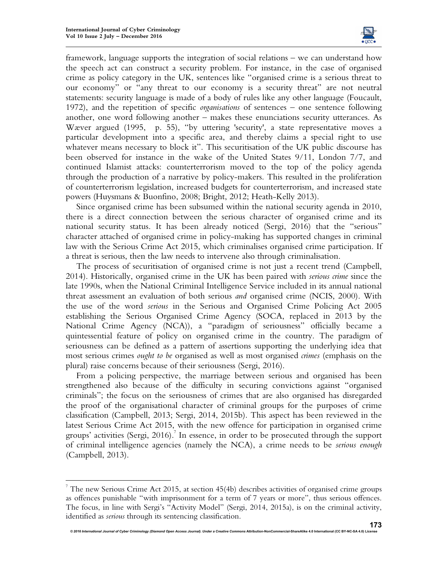$\overline{a}$ 



framework, language supports the integration of social relations – we can understand how the speech act can construct a security problem. For instance, in the case of organised crime as policy category in the UK, sentences like "organised crime is a serious threat to our economy" or "any threat to our economy is a security threat" are not neutral statements: security language is made of a body of rules like any other language (Foucault, 1972), and the repetition of specific *organisations* of sentences – one sentence following another, one word following another – makes these enunciations security utterances. As Wæver argued (1995, p. 55), "by uttering 'security', a state representative moves a particular development into a specific area, and thereby claims a special right to use whatever means necessary to block it". This securitisation of the UK public discourse has been observed for instance in the wake of the United States 9/11, London 7/7, and continued Islamist attacks: counterterrorism moved to the top of the policy agenda through the production of a narrative by policy-makers. This resulted in the proliferation of counterterrorism legislation, increased budgets for counterterrorism, and increased state powers (Huysmans & Buonfino, 2008; Bright, 2012; Heath-Kelly 2013).

Since organised crime has been subsumed within the national security agenda in 2010, there is a direct connection between the serious character of organised crime and its national security status. It has been already noticed (Sergi, 2016) that the "serious" character attached of organised crime in policy-making has supported changes in criminal law with the Serious Crime Act 2015, which criminalises organised crime participation. If a threat is serious, then the law needs to intervene also through criminalisation.

The process of securitisation of organised crime is not just a recent trend (Campbell, 2014). Historically, organised crime in the UK has been paired with *serious crime* since the late 1990s, when the National Criminal Intelligence Service included in its annual national threat assessment an evaluation of both serious *and* organised crime (NCIS, 2000). With the use of the word *serious* in the Serious and Organised Crime Policing Act 2005 establishing the Serious Organised Crime Agency (SOCA, replaced in 2013 by the National Crime Agency (NCA)), a "paradigm of seriousness" officially became a quintessential feature of policy on organised crime in the country. The paradigm of seriousness can be defined as a pattern of assertions supporting the underlying idea that most serious crimes *ought to be* organised as well as most organised *crimes* (emphasis on the plural) raise concerns because of their seriousness (Sergi, 2016).

From a policing perspective, the marriage between serious and organised has been strengthened also because of the difficulty in securing convictions against "organised criminals"; the focus on the seriousness of crimes that are also organised has disregarded the proof of the organisational character of criminal groups for the purposes of crime classification (Campbell, 2013; Sergi, 2014, 2015b). This aspect has been reviewed in the latest Serious Crime Act 2015, with the new offence for participation in organised crime groups' activities (Sergi, 2016).<sup>7</sup> In essence, in order to be prosecuted through the support of criminal intelligence agencies (namely the NCA), a crime needs to be *serious enough* (Campbell, 2013).

The new Serious Crime Act 2015, at section 45(4b) describes activities of organised crime groups as offences punishable "with imprisonment for a term of 7 years or more", thus serious offences. The focus, in line with Sergi's "Activity Model" (Sergi, 2014, 2015a), is on the criminal activity, identified as *serious* through its sentencing classification.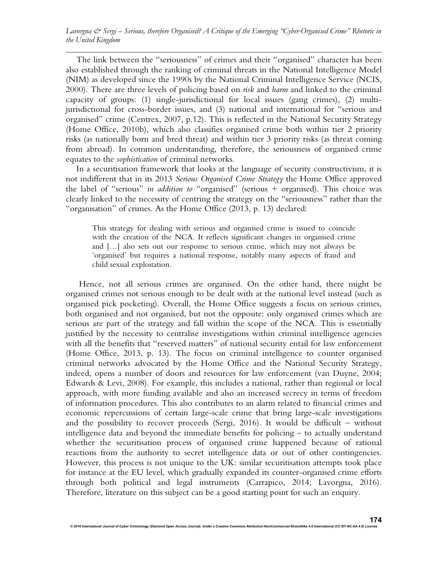The link between the "seriousness" of crimes and their "organised" character has been also established through the ranking of criminal threats in the National Intelligence Model (NIM) as developed since the 1990s by the National Criminal Intelligence Service (NCIS, 2000). There are three levels of policing based on *risk* and *harm* and linked to the criminal capacity of groups: (1) single-jurisdictional for local issues (gang crimes), (2) multijurisdictional for cross-border issues, and (3) national and international for "serious and organised" crime (Centrex, 2007, p.12). This is reflected in the National Security Strategy (Home Office, 2010b), which also classifies organised crime both within tier 2 priority risks (as nationally born and bred threat) and within tier 3 priority risks (as threat coming from abroad). In common understanding, therefore, the seriousness of organised crime equates to the *sophistication* of criminal networks.

In a securitisation framework that looks at the language of security constructivism, it is not indifferent that in its 2013 *Serious Organised Crime Strategy* the Home Office approved the label of "serious" *in addition to* "organised" (serious + organised). This choice was clearly linked to the necessity of centring the strategy on the "seriousness" rather than the "organisation" of crimes. As the Home Office (2013, p. 13) declared:

This strategy for dealing with serious and organised crime is issued to coincide with the creation of the NCA. It reflects significant changes in organised crime and […] also sets out our response to serious crime, which may not always be 'organised' but requires a national response, notably many aspects of fraud and child sexual exploitation.

Hence, not all serious crimes are organised. On the other hand, there might be organised crimes not serious enough to be dealt with at the national level instead (such as organised pick pocketing). Overall, the Home Office suggests a focus on serious crimes, both organised and not organised, but not the opposite: only organised crimes which are serious are part of the strategy and fall within the scope of the NCA. This is essentially justified by the necessity to centralise investigations within criminal intelligence agencies with all the benefits that "reserved matters" of national security entail for law enforcement (Home Office, 2013, p. 13). The focus on criminal intelligence to counter organised criminal networks advocated by the Home Office and the National Security Strategy, indeed, opens a number of doors and resources for law enforcement (van Duyne, 2004; Edwards & Levi, 2008). For example, this includes a national, rather than regional or local approach, with more funding available and also an increased secrecy in terms of freedom of information procedures. This also contributes to an alarm related to financial crimes and economic repercussions of certain large-scale crime that bring large-scale investigations and the possibility to recover proceeds (Sergi, 2016). It would be difficult – without intelligence data and beyond the immediate benefits for policing – to actually understand whether the securitisation process of organised crime happened because of rational reactions from the authority to secret intelligence data or out of other contingencies. However, this process is not unique to the UK: similar securitisation attempts took place for instance at the EU level, which gradually expanded its counter-organised crime efforts through both political and legal instruments (Carrapico, 2014; Lavorgna, 2016). Therefore, literature on this subject can be a good starting point for such an enquiry.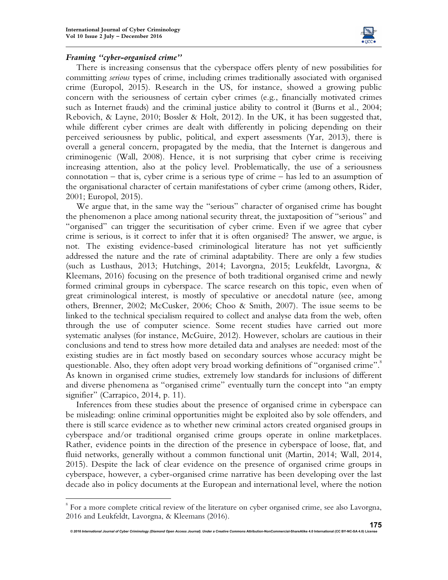

### *Framing "cyber-organised crime"*

 $\overline{a}$ 

There is increasing consensus that the cyberspace offers plenty of new possibilities for committing *serious* types of crime, including crimes traditionally associated with organised crime (Europol, 2015). Research in the US, for instance, showed a growing public concern with the seriousness of certain cyber crimes (e.g., financially motivated crimes such as Internet frauds) and the criminal justice ability to control it (Burns et al., 2004; Rebovich, & Layne, 2010; Bossler & Holt, 2012). In the UK, it has been suggested that, while different cyber crimes are dealt with differently in policing depending on their perceived seriousness by public, political, and expert assessments (Yar, 2013), there is overall a general concern, propagated by the media, that the Internet is dangerous and criminogenic (Wall, 2008). Hence, it is not surprising that cyber crime is receiving increasing attention, also at the policy level. Problematically, the use of a seriousness connotation – that is, cyber crime is a serious type of crime – has led to an assumption of the organisational character of certain manifestations of cyber crime (among others, Rider, 2001; Europol, 2015).

We argue that, in the same way the "serious" character of organised crime has bought the phenomenon a place among national security threat, the juxtaposition of "serious" and "organised" can trigger the securitisation of cyber crime. Even if we agree that cyber crime is serious, is it correct to infer that it is often organised? The answer, we argue, is not. The existing evidence-based criminological literature has not yet sufficiently addressed the nature and the rate of criminal adaptability. There are only a few studies (such as Lusthaus, 2013; Hutchings, 2014; Lavorgna, 2015; Leukfeldt, Lavorgna, & Kleemans, 2016) focusing on the presence of both traditional organised crime and newly formed criminal groups in cyberspace. The scarce research on this topic, even when of great criminological interest, is mostly of speculative or anecdotal nature (see, among others, Brenner, 2002; McCusker, 2006; Choo & Smith, 2007). The issue seems to be linked to the technical specialism required to collect and analyse data from the web, often through the use of computer science. Some recent studies have carried out more systematic analyses (for instance, McGuire, 2012). However, scholars are cautious in their conclusions and tend to stress how more detailed data and analyses are needed: most of the existing studies are in fact mostly based on secondary sources whose accuracy might be questionable. Also, they often adopt very broad working definitions of "organised crime".<sup>8</sup> As known in organised crime studies, extremely low standards for inclusions of different and diverse phenomena as "organised crime" eventually turn the concept into "an empty signifier" (Carrapico, 2014, p. 11).

Inferences from these studies about the presence of organised crime in cyberspace can be misleading: online criminal opportunities might be exploited also by sole offenders, and there is still scarce evidence as to whether new criminal actors created organised groups in cyberspace and/or traditional organised crime groups operate in online marketplaces. Rather, evidence points in the direction of the presence in cyberspace of loose, flat, and fluid networks, generally without a common functional unit (Martin, 2014; Wall, 2014, 2015). Despite the lack of clear evidence on the presence of organised crime groups in cyberspace, however, a cyber-organised crime narrative has been developing over the last decade also in policy documents at the European and international level, where the notion

<sup>&</sup>lt;sup>8</sup> For a more complete critical review of the literature on cyber organised crime, see also Lavorgna, 2016 and Leukfeldt, Lavorgna, & Kleemans (2016).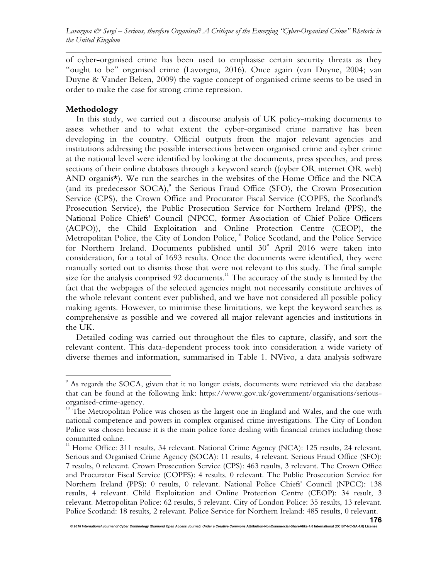of cyber-organised crime has been used to emphasise certain security threats as they "ought to be" organised crime (Lavorgna, 2016). Once again (van Duyne, 2004; van Duyne & Vander Beken, 2009) the vague concept of organised crime seems to be used in order to make the case for strong crime repression.

# **Methodology**

 $\overline{a}$ 

In this study, we carried out a discourse analysis of UK policy-making documents to assess whether and to what extent the cyber-organised crime narrative has been developing in the country. Official outputs from the major relevant agencies and institutions addressing the possible intersections between organised crime and cyber crime at the national level were identified by looking at the documents, press speeches, and press sections of their online databases through a keyword search ((cyber OR internet OR web) AND organis\*). We run the searches in the websites of the Home Office and the NCA (and its predecessor SOCA),<sup>9</sup> the Serious Fraud Office (SFO), the Crown Prosecution Service (CPS), the Crown Office and Procurator Fiscal Service (COPFS, the Scotland's Prosecution Service), the Public Prosecution Service for Northern Ireland (PPS), the National Police Chiefs' Council (NPCC, former Association of Chief Police Officers (ACPO)), the Child Exploitation and Online Protection Centre (CEOP), the Metropolitan Police, the City of London Police,<sup>10</sup> Police Scotland, and the Police Service for Northern Ireland. Documents published until  $30<sup>st</sup>$  April 2016 were taken into consideration, for a total of 1693 results. Once the documents were identified, they were manually sorted out to dismiss those that were not relevant to this study. The final sample size for the analysis comprised  $92$  documents.<sup>11</sup> The accuracy of the study is limited by the fact that the webpages of the selected agencies might not necessarily constitute archives of the whole relevant content ever published, and we have not considered all possible policy making agents. However, to minimise these limitations, we kept the keyword searches as comprehensive as possible and we covered all major relevant agencies and institutions in the UK.

Detailed coding was carried out throughout the files to capture, classify, and sort the relevant content. This data-dependent process took into consideration a wide variety of diverse themes and information, summarised in Table 1. NVivo, a data analysis software

<sup>9</sup> As regards the SOCA, given that it no longer exists, documents were retrieved via the database that can be found at the following link: https://www.gov.uk/government/organisations/seriousorganised-crime-agency.

 $10<sup>10</sup>$  The Metropolitan Police was chosen as the largest one in England and Wales, and the one with national competence and powers in complex organised crime investigations. The City of London Police was chosen because it is the main police force dealing with financial crimes including those committed online.

<sup>&</sup>lt;sup>11</sup> Home Office: 311 results, 34 relevant. National Crime Agency (NCA): 125 results, 24 relevant. Serious and Organised Crime Agency (SOCA): 11 results, 4 relevant. Serious Fraud Office (SFO): 7 results, 0 relevant. Crown Prosecution Service (CPS): 463 results, 3 relevant. The Crown Office and Procurator Fiscal Service (COPFS): 4 results, 0 relevant. The Public Prosecution Service for Northern Ireland (PPS): 0 results, 0 relevant. National Police Chiefs' Council (NPCC): 138 results, 4 relevant. Child Exploitation and Online Protection Centre (CEOP): 34 result, 3 relevant. Metropolitan Police: 62 results, 5 relevant. City of London Police: 35 results, 13 relevant. Police Scotland: 18 results, 2 relevant. Police Service for Northern Ireland: 485 results, 0 relevant.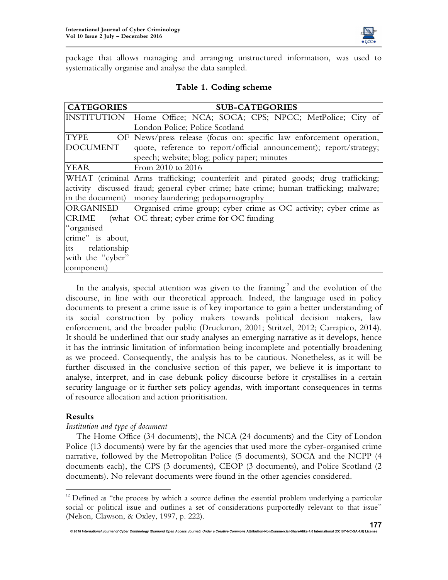

package that allows managing and arranging unstructured information, was used to systematically organise and analyse the data sampled.

| <b>CATEGORIES</b>         | <b>SUB-CATEGORIES</b>                                                                  |
|---------------------------|----------------------------------------------------------------------------------------|
| <i><b>INSTITUTION</b></i> | Home Office; NCA; SOCA; CPS; NPCC; MetPolice; City of                                  |
|                           | London Police; Police Scotland                                                         |
| TYPE                      | OF News/press release (focus on: specific law enforcement operation,                   |
| <b>DOCUMENT</b>           | quote, reference to report/official announcement); report/strategy;                    |
|                           | speech; website; blog; policy paper; minutes                                           |
| <b>YEAR</b>               | From 2010 to 2016                                                                      |
|                           | WHAT (criminal Arms trafficking; counterfeit and pirated goods; drug trafficking;      |
|                           | activity discussed fraud; general cyber crime; hate crime; human trafficking; malware; |
| in the document)          | money laundering; pedopornography                                                      |
| ORGANISED                 | Organised crime group; cyber crime as OC activity; cyber crime as                      |
| CRIME                     | (what  OC threat; cyber crime for OC funding                                           |
| "organised                |                                                                                        |
| crime" is about,          |                                                                                        |
| its relationship          |                                                                                        |
| with the "cyber"          |                                                                                        |
| component)                |                                                                                        |

In the analysis, special attention was given to the framing<sup>12</sup> and the evolution of the discourse, in line with our theoretical approach. Indeed, the language used in policy documents to present a crime issue is of key importance to gain a better understanding of its social construction by policy makers towards political decision makers, law enforcement, and the broader public (Druckman, 2001; Stritzel, 2012; Carrapico, 2014). It should be underlined that our study analyses an emerging narrative as it develops, hence it has the intrinsic limitation of information being incomplete and potentially broadening as we proceed. Consequently, the analysis has to be cautious. Nonetheless, as it will be further discussed in the conclusive section of this paper, we believe it is important to analyse, interpret, and in case debunk policy discourse before it crystallises in a certain security language or it further sets policy agendas, with important consequences in terms of resource allocation and action prioritisation.

## **Results**

 $\overline{a}$ 

## *Institution and type of document*

The Home Office (34 documents), the NCA (24 documents) and the City of London Police (13 documents) were by far the agencies that used more the cyber-organised crime narrative, followed by the Metropolitan Police (5 documents), SOCA and the NCPP (4 documents each), the CPS (3 documents), CEOP (3 documents), and Police Scotland (2 documents). No relevant documents were found in the other agencies considered.

<sup>&</sup>lt;sup>12</sup> Defined as "the process by which a source defines the essential problem underlying a particular social or political issue and outlines a set of considerations purportedly relevant to that issue" (Nelson, Clawson, & Oxley, 1997, p. 222).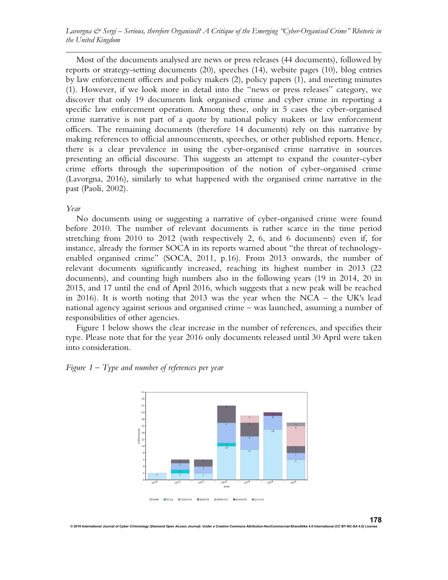Most of the documents analysed are news or press releases (44 documents), followed by reports or strategy-setting documents (20), speeches (14), website pages (10), blog entries by law enforcement officers and policy makers (2), policy papers (1), and meeting minutes (1). However, if we look more in detail into the "news or press releases" category, we discover that only 19 documents link organised crime and cyber crime in reporting a specific law enforcement operation. Among these, only in 5 cases the cyber-organised crime narrative is not part of a quote by national policy makers or law enforcement officers. The remaining documents (therefore 14 documents) rely on this narrative by making references to official announcements, speeches, or other published reports. Hence, there is a clear prevalence in using the cyber-organised crime narrative in sources presenting an official discourse. This suggests an attempt to expand the counter-cyber crime efforts through the superimposition of the notion of cyber-organised crime (Lavorgna, 2016), similarly to what happened with the organised crime narrative in the past (Paoli, 2002).

#### *Year*

No documents using or suggesting a narrative of cyber-organised crime were found before 2010. The number of relevant documents is rather scarce in the time period stretching from 2010 to 2012 (with respectively 2, 6, and 6 documents) even if, for instance, already the former SOCA in its reports warned about "the threat of technologyenabled organised crime" (SOCA, 2011, p.16). From 2013 onwards, the number of relevant documents significantly increased, reaching its highest number in 2013 (22 documents), and counting high numbers also in the following years (19 in 2014, 20 in 2015, and 17 until the end of April 2016, which suggests that a new peak will be reached in 2016). It is worth noting that 2013 was the year when the NCA – the UK's lead national agency against serious and organised crime – was launched, assuming a number of responsibilities of other agencies.

Figure 1 below shows the clear increase in the number of references, and specifies their type. Please note that for the year 2016 only documents released until 30 April were taken into consideration.

## *Figure 1 – Type and number of references per year*



*© 2016 International Journal of Cyber Criminology (Diamond Open Access Journal). Under a Creative Commons* **Attribution-NonCommercial-ShareAlike 4.0 International (CC BY-NC-SA 4.0) License** 

**Eblog** Exeports Espeech Evebsite Eminutes Epolicy  $\Box$  news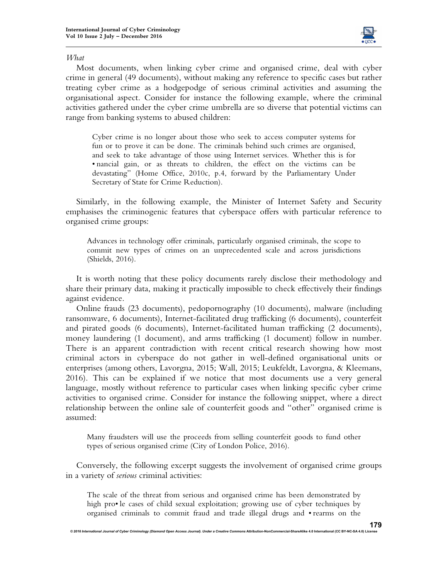

#### *What*

Most documents, when linking cyber crime and organised crime, deal with cyber crime in general (49 documents), without making any reference to specific cases but rather treating cyber crime as a hodgepodge of serious criminal activities and assuming the organisational aspect. Consider for instance the following example, where the criminal activities gathered under the cyber crime umbrella are so diverse that potential victims can range from banking systems to abused children:

Cyber crime is no longer about those who seek to access computer systems for fun or to prove it can be done. The criminals behind such crimes are organised, and seek to take advantage of those using Internet services. Whether this is for • nancial gain, or as threats to children, the effect on the victims can be devastating" (Home Office, 2010c, p.4, forward by the Parliamentary Under Secretary of State for Crime Reduction).

Similarly, in the following example, the Minister of Internet Safety and Security emphasises the criminogenic features that cyberspace offers with particular reference to organised crime groups:

Advances in technology offer criminals, particularly organised criminals, the scope to commit new types of crimes on an unprecedented scale and across jurisdictions (Shields, 2016).

It is worth noting that these policy documents rarely disclose their methodology and share their primary data, making it practically impossible to check effectively their findings against evidence.

Online frauds (23 documents), pedopornography (10 documents), malware (including ransomware, 6 documents), Internet-facilitated drug trafficking (6 documents), counterfeit and pirated goods (6 documents), Internet-facilitated human trafficking (2 documents), money laundering (1 document), and arms trafficking (1 document) follow in number. There is an apparent contradiction with recent critical research showing how most criminal actors in cyberspace do not gather in well-defined organisational units or enterprises (among others, Lavorgna, 2015; Wall, 2015; Leukfeldt, Lavorgna, & Kleemans, 2016). This can be explained if we notice that most documents use a very general language, mostly without reference to particular cases when linking specific cyber crime activities to organised crime. Consider for instance the following snippet, where a direct relationship between the online sale of counterfeit goods and "other" organised crime is assumed:

Many fraudsters will use the proceeds from selling counterfeit goods to fund other types of serious organised crime (City of London Police, 2016).

Conversely, the following excerpt suggests the involvement of organised crime groups in a variety of *serious* criminal activities:

The scale of the threat from serious and organised crime has been demonstrated by high pro• le cases of child sexual exploitation; growing use of cyber techniques by organised criminals to commit fraud and trade illegal drugs and • rearms on the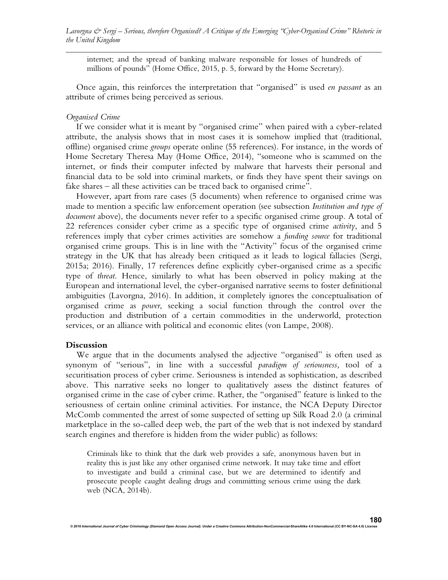internet; and the spread of banking malware responsible for losses of hundreds of millions of pounds" (Home Office, 2015, p. 5, forward by the Home Secretary).

Once again, this reinforces the interpretation that "organised" is used *en passant* as an attribute of crimes being perceived as serious.

## *Organised Crime*

If we consider what it is meant by "organised crime" when paired with a cyber-related attribute, the analysis shows that in most cases it is somehow implied that (traditional, offline) organised crime *groups* operate online (55 references). For instance, in the words of Home Secretary Theresa May (Home Office, 2014), "someone who is scammed on the internet, or finds their computer infected by malware that harvests their personal and financial data to be sold into criminal markets, or finds they have spent their savings on fake shares – all these activities can be traced back to organised crime".

However, apart from rare cases (5 documents) when reference to organised crime was made to mention a specific law enforcement operation (see subsection *Institution and type of document* above), the documents never refer to a specific organised crime group. A total of 22 references consider cyber crime as a specific type of organised crime *activity*, and 5 references imply that cyber crimes activities are somehow a *funding source* for traditional organised crime groups. This is in line with the "Activity" focus of the organised crime strategy in the UK that has already been critiqued as it leads to logical fallacies (Sergi, 2015a; 2016). Finally, 17 references define explicitly cyber-organised crime as a specific type of *threat*. Hence, similarly to what has been observed in policy making at the European and international level, the cyber-organised narrative seems to foster definitional ambiguities (Lavorgna, 2016). In addition, it completely ignores the conceptualisation of organised crime as *power*, seeking a social function through the control over the production and distribution of a certain commodities in the underworld, protection services, or an alliance with political and economic elites (von Lampe, 2008).

#### **Discussion**

We argue that in the documents analysed the adjective "organised" is often used as synonym of "serious", in line with a successful *paradigm of seriousness,* tool of a securitisation process of cyber crime. Seriousness is intended as sophistication, as described above. This narrative seeks no longer to qualitatively assess the distinct features of organised crime in the case of cyber crime. Rather, the "organised" feature is linked to the seriousness of certain online criminal activities. For instance, the NCA Deputy Director McComb commented the arrest of some suspected of setting up Silk Road 2.0 (a criminal marketplace in the so-called deep web, the part of the web that is not indexed by standard search engines and therefore is hidden from the wider public) as follows:

Criminals like to think that the dark web provides a safe, anonymous haven but in reality this is just like any other organised crime network. It may take time and effort to investigate and build a criminal case, but we are determined to identify and prosecute people caught dealing drugs and committing serious crime using the dark web (NCA, 2014b).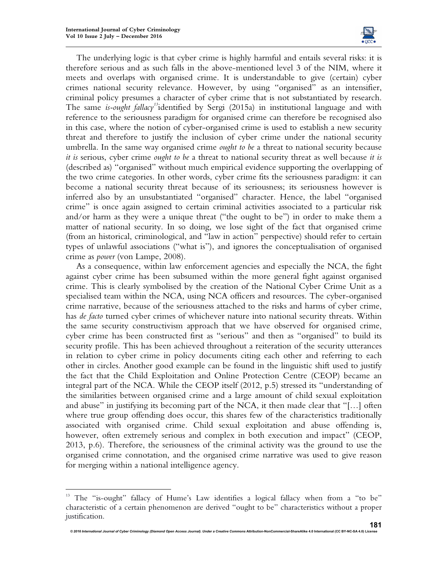

The underlying logic is that cyber crime is highly harmful and entails several risks: it is therefore serious and as such falls in the above-mentioned level 3 of the NIM, where it meets and overlaps with organised crime. It is understandable to give (certain) cyber crimes national security relevance. However, by using "organised" as an intensifier, criminal policy presumes a character of cyber crime that is not substantiated by research. The same *is-ought fallacy<sup>13</sup>*identified by Sergi (2015a) in institutional language and with reference to the seriousness paradigm for organised crime can therefore be recognised also in this case, where the notion of cyber-organised crime is used to establish a new security threat and therefore to justify the inclusion of cyber crime under the national security umbrella. In the same way organised crime *ought to be* a threat to national security because *it is* serious, cyber crime *ought to be* a threat to national security threat as well because *it is* (described as) "organised" without much empirical evidence supporting the overlapping of the two crime categories. In other words, cyber crime fits the seriousness paradigm: it can become a national security threat because of its seriousness; its seriousness however is inferred also by an unsubstantiated "organised" character. Hence, the label "organised crime" is once again assigned to certain criminal activities associated to a particular risk and/or harm as they were a unique threat ("the ought to be") in order to make them a matter of national security. In so doing, we lose sight of the fact that organised crime (from an historical, criminological, and "law in action" perspective) should refer to certain types of unlawful associations ("what is"), and ignores the conceptualisation of organised crime as *power* (von Lampe, 2008).

As a consequence, within law enforcement agencies and especially the NCA, the fight against cyber crime has been subsumed within the more general fight against organised crime. This is clearly symbolised by the creation of the National Cyber Crime Unit as a specialised team within the NCA, using NCA officers and resources. The cyber-organised crime narrative, because of the seriousness attached to the risks and harms of cyber crime, has *de facto* turned cyber crimes of whichever nature into national security threats. Within the same security constructivism approach that we have observed for organised crime, cyber crime has been constructed first as "serious" and then as "organised" to build its security profile. This has been achieved throughout a reiteration of the security utterances in relation to cyber crime in policy documents citing each other and referring to each other in circles. Another good example can be found in the linguistic shift used to justify the fact that the Child Exploitation and Online Protection Centre (CEOP) became an integral part of the NCA. While the CEOP itself (2012, p.5) stressed its "understanding of the similarities between organised crime and a large amount of child sexual exploitation and abuse" in justifying its becoming part of the NCA, it then made clear that "[…] often where true group offending does occur, this shares few of the characteristics traditionally associated with organised crime. Child sexual exploitation and abuse offending is, however, often extremely serious and complex in both execution and impact" (CEOP, 2013, p.6). Therefore, the seriousness of the criminal activity was the ground to use the organised crime connotation, and the organised crime narrative was used to give reason for merging within a national intelligence agency.

 $@$  2016 International Journal of Cyber Criminology (Diamond Open Access Journal). Under a Creative C

 $\overline{a}$ 

<sup>&</sup>lt;sup>13</sup> The "is-ought" fallacy of Hume's Law identifies a logical fallacy when from a "to be" characteristic of a certain phenomenon are derived "ought to be" characteristics without a proper justification.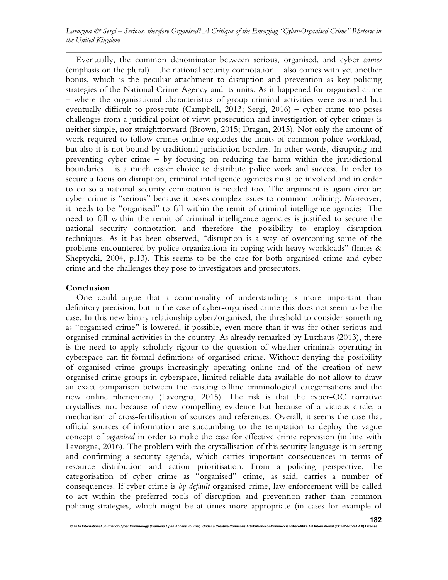*Lavorgna & Sergi – Serious, therefore Organised? A Critique of the Emerging "Cyber-Organised Crime" Rhetoric in the United Kingdom*

Eventually, the common denominator between serious, organised, and cyber *crimes*  (emphasis on the plural) – the national security connotation – also comes with yet another bonus, which is the peculiar attachment to disruption and prevention as key policing strategies of the National Crime Agency and its units. As it happened for organised crime – where the organisational characteristics of group criminal activities were assumed but eventually difficult to prosecute (Campbell, 2013; Sergi, 2016) – cyber crime too poses challenges from a juridical point of view: prosecution and investigation of cyber crimes is neither simple, nor straightforward (Brown, 2015; Dragan, 2015). Not only the amount of work required to follow crimes online explodes the limits of common police workload, but also it is not bound by traditional jurisdiction borders. In other words, disrupting and preventing cyber crime – by focusing on reducing the harm within the jurisdictional boundaries – is a much easier choice to distribute police work and success. In order to secure a focus on disruption, criminal intelligence agencies must be involved and in order to do so a national security connotation is needed too. The argument is again circular: cyber crime is "serious" because it poses complex issues to common policing. Moreover, it needs to be "organised" to fall within the remit of criminal intelligence agencies. The need to fall within the remit of criminal intelligence agencies is justified to secure the national security connotation and therefore the possibility to employ disruption techniques. As it has been observed, "disruption is a way of overcoming some of the problems encountered by police organizations in coping with heavy workloads" (Innes & Sheptycki, 2004, p.13). This seems to be the case for both organised crime and cyber crime and the challenges they pose to investigators and prosecutors.

## **Conclusion**

One could argue that a commonality of understanding is more important than definitory precision, but in the case of cyber-organised crime this does not seem to be the case. In this new binary relationship cyber/organised, the threshold to consider something as "organised crime" is lowered, if possible, even more than it was for other serious and organised criminal activities in the country. As already remarked by Lusthaus (2013), there is the need to apply scholarly rigour to the question of whether criminals operating in cyberspace can fit formal definitions of organised crime. Without denying the possibility of organised crime groups increasingly operating online and of the creation of new organised crime groups in cyberspace, limited reliable data available do not allow to draw an exact comparison between the existing offline criminological categorisations and the new online phenomena (Lavorgna, 2015). The risk is that the cyber-OC narrative crystallises not because of new compelling evidence but because of a vicious circle, a mechanism of cross-fertilisation of sources and references. Overall, it seems the case that official sources of information are succumbing to the temptation to deploy the vague concept of *organised* in order to make the case for effective crime repression (in line with Lavorgna, 2016). The problem with the crystallisation of this security language is in setting and confirming a security agenda, which carries important consequences in terms of resource distribution and action prioritisation. From a policing perspective, the categorisation of cyber crime as "organised" crime, as said, carries a number of consequences. If cyber crime is *by default* organised crime, law enforcement will be called to act within the preferred tools of disruption and prevention rather than common policing strategies, which might be at times more appropriate (in cases for example of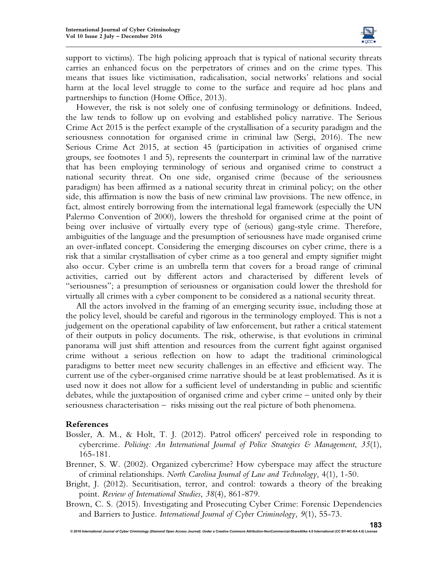

support to victims). The high policing approach that is typical of national security threats carries an enhanced focus on the perpetrators of crimes and on the crime types. This means that issues like victimisation, radicalisation, social networks' relations and social harm at the local level struggle to come to the surface and require ad hoc plans and partnerships to function (Home Office, 2013).

However, the risk is not solely one of confusing terminology or definitions. Indeed, the law tends to follow up on evolving and established policy narrative. The Serious Crime Act 2015 is the perfect example of the crystallisation of a security paradigm and the seriousness connotation for organised crime in criminal law (Sergi, 2016). The new Serious Crime Act 2015, at section 45 (participation in activities of organised crime groups, see footnotes 1 and 5), represents the counterpart in criminal law of the narrative that has been employing terminology of serious and organised crime to construct a national security threat. On one side, organised crime (because of the seriousness paradigm) has been affirmed as a national security threat in criminal policy; on the other side, this affirmation is now the basis of new criminal law provisions. The new offence, in fact, almost entirely borrowing from the international legal framework (especially the UN Palermo Convention of 2000), lowers the threshold for organised crime at the point of being over inclusive of virtually every type of (serious) gang-style crime. Therefore, ambiguities of the language and the presumption of seriousness have made organised crime an over-inflated concept. Considering the emerging discourses on cyber crime, there is a risk that a similar crystallisation of cyber crime as a too general and empty signifier might also occur. Cyber crime is an umbrella term that covers for a broad range of criminal activities, carried out by different actors and characterised by different levels of "seriousness"; a presumption of seriousness or organisation could lower the threshold for virtually all crimes with a cyber component to be considered as a national security threat.

All the actors involved in the framing of an emerging security issue, including those at the policy level, should be careful and rigorous in the terminology employed. This is not a judgement on the operational capability of law enforcement, but rather a critical statement of their outputs in policy documents. The risk, otherwise, is that evolutions in criminal panorama will just shift attention and resources from the current fight against organised crime without a serious reflection on how to adapt the traditional criminological paradigms to better meet new security challenges in an effective and efficient way. The current use of the cyber-organised crime narrative should be at least problematised. As it is used now it does not allow for a sufficient level of understanding in public and scientific debates, while the juxtaposition of organised crime and cyber crime – united only by their seriousness characterisation – risks missing out the real picture of both phenomena.

## **References**

- Bossler, A. M., & Holt, T. J. (2012). Patrol officers' perceived role in responding to cybercrime. *Policing: An International Journal of Police Strategies & Management*, *35*(1), 165-181.
- Brenner, S. W. (2002). Organized cybercrime? How cyberspace may affect the structure of criminal relationships. *North Carolina Journal of Law and Technology,* 4(1), 1-50.
- Bright, J. (2012). Securitisation, terror, and control: towards a theory of the breaking point. *Review of International Studies*, *38*(4), 861-879.
- Brown, C. S. (2015). Investigating and Prosecuting Cyber Crime: Forensic Dependencies and Barriers to Justice. *International Journal of Cyber Criminology, 9*(1), 55-73.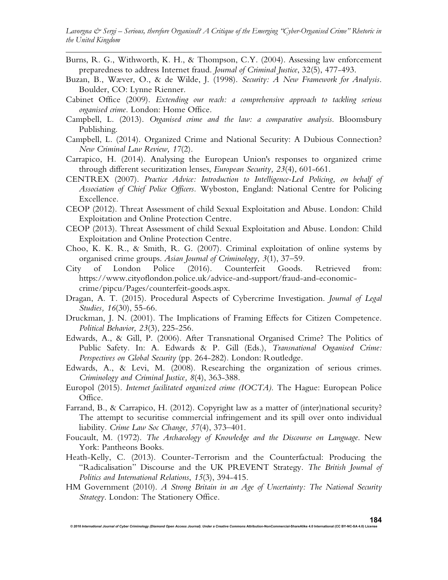- Burns, R. G., Withworth, K. H., & Thompson, C.Y. (2004). Assessing law enforcement preparedness to address Internet fraud. *Journal of Criminal Justice*, 32(5), 477-493.
- Buzan, B., Wæver, O., & de Wilde, J. (1998). *Security: A New Framework for Analysis*. Boulder, CO: Lynne Rienner.
- Cabinet Office (2009). *Extending our reach: a comprehensive approach to tackling serious organised crime.* London: Home Office.
- Campbell, L. (2013). *Organised crime and the law: a comparative analysis*. Bloomsbury Publishing.
- Campbell, L. (2014). Organized Crime and National Security: A Dubious Connection? *New Criminal Law Review, 17*(2).
- Carrapico, H. (2014). Analysing the European Union's responses to organized crime through different securitization lenses, *European Security, 23*(4), 601-661.
- CENTREX (2007). *Practice Advice: Introduction to Intelligence-Led Policing, on behalf of Association of Chief Police Officers.* Wyboston, England: National Centre for Policing Excellence.
- CEOP (2012). Threat Assessment of child Sexual Exploitation and Abuse. London: Child Exploitation and Online Protection Centre.
- CEOP (2013). Threat Assessment of child Sexual Exploitation and Abuse. London: Child Exploitation and Online Protection Centre.
- Choo, K. K. R., & Smith, R. G. (2007). Criminal exploitation of online systems by organised crime groups. *Asian Journal of Criminology, 3*(1), 37–59.
- City of London Police (2016). Counterfeit Goods. Retrieved from: https://www.cityoflondon.police.uk/advice-and-support/fraud-and-economiccrime/pipcu/Pages/counterfeit-goods.aspx.
- Dragan, A. T. (2015). Procedural Aspects of Cybercrime Investigation. *Journal of Legal Studies, 16*(30), 55-66.
- Druckman, J. N. (2001). The Implications of Framing Effects for Citizen Competence. *Political Behavior, 23*(3), 225-256.
- Edwards, A., & Gill, P. (2006). After Transnational Organised Crime? The Politics of Public Safety. In: A. Edwards & P. Gill (Eds.), *Transnational Organised Crime: Perspectives on Global Security* (pp. 264-282)*.* London: Routledge.
- Edwards, A., & Levi, M. (2008). Researching the organization of serious crimes. *Criminology and Criminal Justice, 8*(4), 363-388.
- Europol (2015). *Internet facilitated organized crime (IOCTA)*. The Hague: European Police Office.
- Farrand, B., & Carrapico, H. (2012). Copyright law as a matter of (inter)national security? The attempt to securitise commercial infringement and its spill over onto individual liability. *Crime Law Soc Change, 57*(4), 373–401.
- Foucault, M. (1972). *The Archaeology of Knowledge and the Discourse on Language*. New York: Pantheons Books.
- Heath-Kelly, C. (2013). Counter-Terrorism and the Counterfactual: Producing the "Radicalisation" Discourse and the UK PREVENT Strategy. *The British Journal of Politics and International Relations*, *15*(3), 394-415.
- HM Government (2010). *A Strong Britain in an Age of Uncertainty: The National Security Strategy*. London: The Stationery Office.

*© 2016 International Journal of Cyber Criminology (Diamond Open Access Journal). Under a Creative Commons* **Attribution-NonCommercial-ShareAlike 4.0 International (CC BY-NC-SA 4.0) License 184**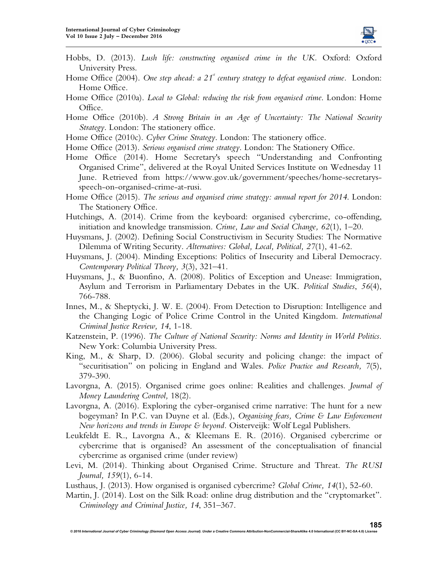

- Hobbs, D. (2013). *Lush life: constructing organised crime in the UK.* Oxford: Oxford University Press.
- Home Office (2004). *One step ahead: a 21st century strategy to defeat organised crime.* London: Home Office.
- Home Office (2010a). *Local to Global: reducing the risk from organised crime*. London: Home Office.
- Home Office (2010b). *A Strong Britain in an Age of Uncertainty: The National Security Strategy*. London: The stationery office.
- Home Office (2010c). *Cyber Crime Strategy*. London: The stationery office.
- Home Office (2013). *Serious organised crime strategy*. London: The Stationery Office.
- Home Office (2014). Home Secretary's speech "Understanding and Confronting Organised Crime", delivered at the Royal United Services Institute on Wednesday 11 June. Retrieved from https://www.gov.uk/government/speeches/home-secretarysspeech-on-organised-crime-at-rusi.
- Home Office (2015). *The serious and organised crime strategy: annual report for 2014*. London: The Stationery Office.
- Hutchings, A. (2014). Crime from the keyboard: organised cybercrime, co-offending, initiation and knowledge transmission. *Crime, Law and Social Change, 62*(1), 1–20.
- Huysmans, J. (2002). Defining Social Constructivism in Security Studies: The Normative Dilemma of Writing Security. *Alternatives: Global, Local, Political, 27*(1), 41-62.
- Huysmans, J. (2004). Minding Exceptions: Politics of Insecurity and Liberal Democracy. *Contemporary Political Theory, 3*(3), 321–41.
- Huysmans, J., & Buonfino, A. (2008). Politics of Exception and Unease: Immigration, Asylum and Terrorism in Parliamentary Debates in the UK. *Political Studies*, *56*(4), 766-788.
- Innes, M., & Sheptycki, J. W. E. (2004). From Detection to Disruption: Intelligence and the Changing Logic of Police Crime Control in the United Kingdom. *International Criminal Justice Review, 14*, 1-18.
- Katzenstein, P. (1996). *The Culture of National Security: Norms and Identity in World Politics.* New York: Columbia University Press.
- King, M., & Sharp, D. (2006). Global security and policing change: the impact of "securitisation" on policing in England and Wales. *Police Practice and Research, 7*(5), 379-390.
- Lavorgna, A. (2015). Organised crime goes online: Realities and challenges. *Journal of Money Laundering Control,* 18(2).
- Lavorgna, A. (2016). Exploring the cyber-organised crime narrative: The hunt for a new bogeyman? In P.C. van Duyne et al. (Eds.), *Organising fears, Crime & Law Enforcement New horizons and trends in Europe & beyond.* Oisterveijk: Wolf Legal Publishers.
- Leukfeldt E. R., Lavorgna A., & Kleemans E. R. (2016). Organised cybercrime or cybercrime that is organised? An assessment of the conceptualisation of financial cybercrime as organised crime (under review)
- Levi, M. (2014). Thinking about Organised Crime. Structure and Threat. *The RUSI Journal, 159*(1), 6-14.
- Lusthaus, J. (2013). How organised is organised cybercrime? *Global Crime, 14*(1), 52-60.
- Martin, J. (2014). Lost on the Silk Road: online drug distribution and the "cryptomarket". *Criminology and Criminal Justice, 14*, 351–367.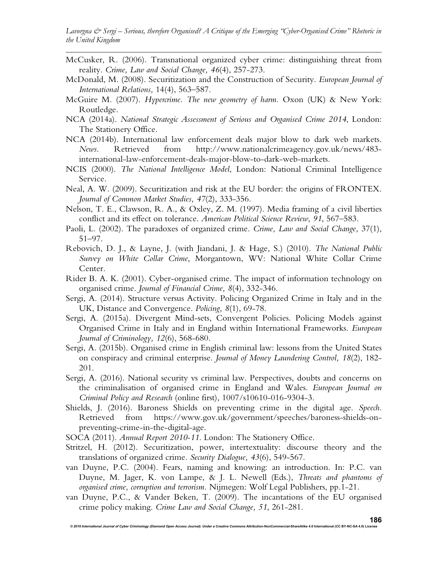- McCusker, R. (2006). Transnational organized cyber crime: distinguishing threat from reality. *Crime, Law and Social Change, 46*(4), 257-273.
- McDonald, M. (2008). Securitization and the Construction of Security. *European Journal of International Relations,* 14(4), 563–587.
- McGuire M. (2007). *Hypercrime. The new geometry of harm.* Oxon (UK) & New York: Routledge.
- NCA (2014a). *National Strategic Assessment of Serious and Organised Crime 2014*, London: The Stationery Office.
- NCA (2014b). International law enforcement deals major blow to dark web markets. *News*. Retrieved from http://www.nationalcrimeagency.gov.uk/news/483 international-law-enforcement-deals-major-blow-to-dark-web-markets.
- NCIS (2000). *The National Intelligence Model*, London: National Criminal Intelligence Service.
- Neal, A. W. (2009). Securitization and risk at the EU border: the origins of FRONTEX. *Journal of Common Market Studies, 47*(2), 333-356.
- Nelson, T. E., Clawson, R. A., & Oxley, Z. M. (1997). Media framing of a civil liberties conflict and its effect on tolerance. *American Political Science Review*, *91*, 567–583.
- Paoli, L. (2002). The paradoxes of organized crime. *Crime, Law and Social Change,* 37(1), 51–97.
- Rebovich, D. J., & Layne, J. (with Jiandani, J. & Hage, S.) (2010). *The National Public Survey on White Collar Crime*, Morgantown, WV: National White Collar Crime Center.
- Rider B. A. K. (2001). Cyber-organised crime. The impact of information technology on organised crime. *Journal of Financial Crime, 8*(4), 332-346.
- Sergi, A. (2014). Structure versus Activity. Policing Organized Crime in Italy and in the UK, Distance and Convergence. *Policing, 8*(1), 69-78.
- Sergi, A. (2015a). Divergent Mind-sets, Convergent Policies. Policing Models against Organised Crime in Italy and in England within International Frameworks. *European Journal of Criminology, 12*(6), 568-680.
- Sergi, A. (2015b). Organised crime in English criminal law: lessons from the United States on conspiracy and criminal enterprise. *Journal of Money Laundering Control, 18*(2), 182- 201.
- Sergi, A. (2016). National security vs criminal law. Perspectives, doubts and concerns on the criminalisation of organised crime in England and Wales. *European Journal on Criminal Policy and Research* (online first), 1007/s10610-016-9304-3.
- Shields, J. (2016). Baroness Shields on preventing crime in the digital age. *Speech*. Retrieved from https://www.gov.uk/government/speeches/baroness-shields-onpreventing-crime-in-the-digital-age.
- SOCA (2011). *Annual Report 2010-11*. London: The Stationery Office.
- Stritzel, H. (2012). Securitization, power, intertextuality: discourse theory and the translations of organized crime. *Security Dialogue, 43*(6), 549-567.
- van Duyne, P.C. (2004). Fears, naming and knowing: an introduction. In: P.C. van Duyne, M. Jager, K. von Lampe, & J. L. Newell (Eds.), *Threats and phantoms of organised crime, corruption and terrorism.* Nijmegen: Wolf Legal Publishers, pp.1-21.
- van Duyne, P.C., & Vander Beken, T. (2009). The incantations of the EU organised crime policy making. *Crime Law and Social Change, 51*, 261-281.